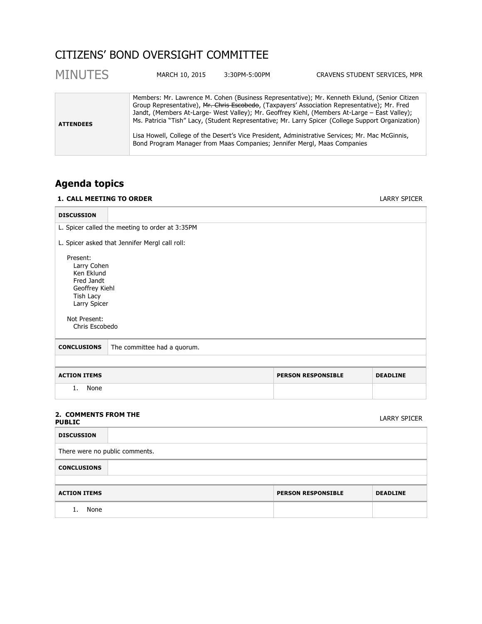# CITIZENS' BOND OVERSIGHT COMMITTEE

| <b>MINUTES</b>   | MARCH 10, 2015                                                           | 3:30PM-5:00PM | CRAVENS STUDENT SERVICES, MPR                                                                                                                                                                                                                                                                                                                                                                                                                                                                           |
|------------------|--------------------------------------------------------------------------|---------------|---------------------------------------------------------------------------------------------------------------------------------------------------------------------------------------------------------------------------------------------------------------------------------------------------------------------------------------------------------------------------------------------------------------------------------------------------------------------------------------------------------|
| <b>ATTENDEES</b> | Bond Program Manager from Maas Companies; Jennifer Mergl, Maas Companies |               | Members: Mr. Lawrence M. Cohen (Business Representative); Mr. Kenneth Eklund, (Senior Citizen<br>Group Representative), Mr. Chris Escobedo, (Taxpayers' Association Representative); Mr. Fred<br>Jandt, (Members At-Large- West Valley); Mr. Geoffrey Kiehl, (Members At-Large – East Valley);<br>Ms. Patricia "Tish" Lacy, (Student Representative; Mr. Larry Spicer (College Support Organization)<br>Lisa Howell, College of the Desert's Vice President, Administrative Services; Mr. Mac McGinnis, |

# **Agenda topics**

# **1. CALL MEETING TO ORDER** LARRY SPICER

| <b>DISCUSSION</b>                                                                                                                    |                                                 |  |  |  |
|--------------------------------------------------------------------------------------------------------------------------------------|-------------------------------------------------|--|--|--|
|                                                                                                                                      | L. Spicer called the meeting to order at 3:35PM |  |  |  |
|                                                                                                                                      | L. Spicer asked that Jennifer Mergl call roll:  |  |  |  |
| Present:<br>Larry Cohen<br>Ken Eklund<br>Fred Jandt<br>Geoffrey Kiehl<br>Tish Lacy<br>Larry Spicer<br>Not Present:<br>Chris Escobedo |                                                 |  |  |  |
| <b>CONCLUSIONS</b>                                                                                                                   | The committee had a quorum.                     |  |  |  |
|                                                                                                                                      |                                                 |  |  |  |
| <b>ACTION ITEMS</b><br><b>PERSON RESPONSIBLE</b><br><b>DEADLINE</b>                                                                  |                                                 |  |  |  |
| None<br>1.                                                                                                                           |                                                 |  |  |  |
|                                                                                                                                      |                                                 |  |  |  |

#### **2. COMMENTS FROM THE PUBLIC** LARRY SPICER

| <b>DISCUSSION</b>              |  |                           |                 |
|--------------------------------|--|---------------------------|-----------------|
| There were no public comments. |  |                           |                 |
| <b>CONCLUSIONS</b>             |  |                           |                 |
|                                |  |                           |                 |
| <b>ACTION ITEMS</b>            |  | <b>PERSON RESPONSIBLE</b> | <b>DEADLINE</b> |
| None                           |  |                           |                 |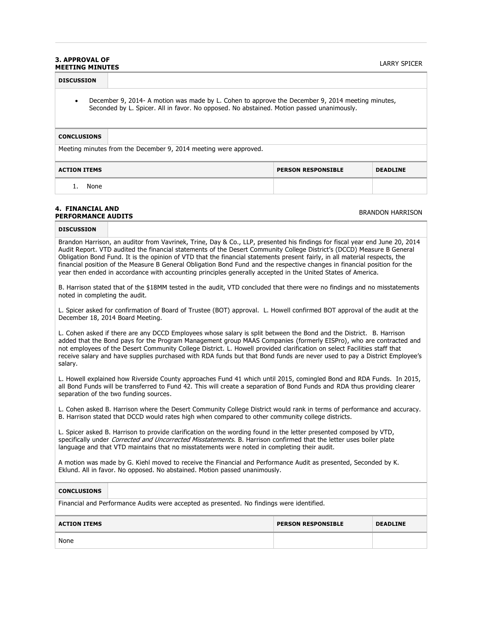#### **3. APPROVAL OF MEETING MINUTES** LARRY SPICER

| <b>DISCUSSION</b>                                                                                                                                                                                          |  |  |  |  |
|------------------------------------------------------------------------------------------------------------------------------------------------------------------------------------------------------------|--|--|--|--|
| December 9, 2014- A motion was made by L. Cohen to approve the December 9, 2014 meeting minutes,<br>$\bullet$<br>Seconded by L. Spicer. All in favor. No opposed. No abstained. Motion passed unanimously. |  |  |  |  |
| <b>CONCLUSIONS</b>                                                                                                                                                                                         |  |  |  |  |
| Meeting minutes from the December 9, 2014 meeting were approved.                                                                                                                                           |  |  |  |  |
| <b>ACTION ITEMS</b><br><b>PERSON RESPONSIBLE</b><br><b>DEADLINE</b>                                                                                                                                        |  |  |  |  |
| None                                                                                                                                                                                                       |  |  |  |  |
|                                                                                                                                                                                                            |  |  |  |  |

#### **4. FINANCIAL AND PERFORMANCE AUDITS** BRANDON HARRISON

# **DISCUSSION**

Brandon Harrison, an auditor from Vavrinek, Trine, Day & Co., LLP, presented his findings for fiscal year end June 20, 2014 Audit Report. VTD audited the financial statements of the Desert Community College District's (DCCD) Measure B General Obligation Bond Fund. It is the opinion of VTD that the financial statements present fairly, in all material respects, the financial position of the Measure B General Obligation Bond Fund and the respective changes in financial position for the year then ended in accordance with accounting principles generally accepted in the United States of America.

B. Harrison stated that of the \$18MM tested in the audit, VTD concluded that there were no findings and no misstatements noted in completing the audit.

L. Spicer asked for confirmation of Board of Trustee (BOT) approval. L. Howell confirmed BOT approval of the audit at the December 18, 2014 Board Meeting.

L. Cohen asked if there are any DCCD Employees whose salary is split between the Bond and the District. B. Harrison added that the Bond pays for the Program Management group MAAS Companies (formerly EISPro), who are contracted and not employees of the Desert Community College District. L. Howell provided clarification on select Facilities staff that receive salary and have supplies purchased with RDA funds but that Bond funds are never used to pay a District Employee's salary.

L. Howell explained how Riverside County approaches Fund 41 which until 2015, comingled Bond and RDA Funds. In 2015, all Bond Funds will be transferred to Fund 42. This will create a separation of Bond Funds and RDA thus providing clearer separation of the two funding sources.

L. Cohen asked B. Harrison where the Desert Community College District would rank in terms of performance and accuracy. B. Harrison stated that DCCD would rates high when compared to other community college districts.

L. Spicer asked B. Harrison to provide clarification on the wording found in the letter presented composed by VTD, specifically under *Corrected and Uncorrected Misstatements*. B. Harrison confirmed that the letter uses boiler plate language and that VTD maintains that no misstatements were noted in completing their audit.

A motion was made by G. Kiehl moved to receive the Financial and Performance Audit as presented, Seconded by K. Eklund. All in favor. No opposed. No abstained. Motion passed unanimously.

# **CONCLUSIONS**

Financial and Performance Audits were accepted as presented. No findings were identified.

| <b>ACTION ITEMS</b> | <b>PERSON RESPONSIBLE</b> | <b>DEADLINE</b> |
|---------------------|---------------------------|-----------------|
| None                |                           |                 |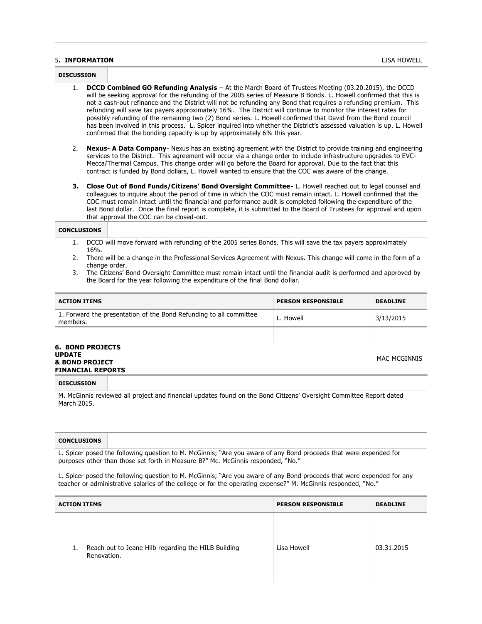#### 5**. INFORMATION** LISA HOWELL

| <b>DISCUSSION</b>                                                                                                                                                                                                                                                                                                                                                                                                                                                                                                                                                                                                                                                                                                                                                                                  |                                                                                                 |                                                                                                                                                                                                                                                                                                                                                                                                                                                                                                                 |                           |                 |
|----------------------------------------------------------------------------------------------------------------------------------------------------------------------------------------------------------------------------------------------------------------------------------------------------------------------------------------------------------------------------------------------------------------------------------------------------------------------------------------------------------------------------------------------------------------------------------------------------------------------------------------------------------------------------------------------------------------------------------------------------------------------------------------------------|-------------------------------------------------------------------------------------------------|-----------------------------------------------------------------------------------------------------------------------------------------------------------------------------------------------------------------------------------------------------------------------------------------------------------------------------------------------------------------------------------------------------------------------------------------------------------------------------------------------------------------|---------------------------|-----------------|
| <b>DCCD Combined GO Refunding Analysis</b> - At the March Board of Trustees Meeting (03.20.2015), the DCCD<br>1.<br>will be seeking approval for the refunding of the 2005 series of Measure B Bonds. L. Howell confirmed that this is<br>not a cash-out refinance and the District will not be refunding any Bond that requires a refunding premium. This<br>refunding will save tax payers approximately 16%. The District will continue to monitor the interest rates for<br>possibly refunding of the remaining two (2) Bond series. L. Howell confirmed that David from the Bond council<br>has been involved in this process. L. Spicer inquired into whether the District's assessed valuation is up. L. Howell<br>confirmed that the bonding capacity is up by approximately 6% this year. |                                                                                                 |                                                                                                                                                                                                                                                                                                                                                                                                                                                                                                                 |                           |                 |
| 2.                                                                                                                                                                                                                                                                                                                                                                                                                                                                                                                                                                                                                                                                                                                                                                                                 |                                                                                                 | <b>Nexus- A Data Company</b> - Nexus has an existing agreement with the District to provide training and engineering<br>services to the District. This agreement will occur via a change order to include infrastructure upgrades to EVC-<br>Mecca/Thermal Campus. This change order will go before the Board for approval. Due to the fact that this<br>contract is funded by Bond dollars, L. Howell wanted to ensure that the COC was aware of the change.                                                   |                           |                 |
| з.                                                                                                                                                                                                                                                                                                                                                                                                                                                                                                                                                                                                                                                                                                                                                                                                 |                                                                                                 | Close Out of Bond Funds/Citizens' Bond Oversight Committee- L. Howell reached out to legal counsel and<br>colleagues to inquire about the period of time in which the COC must remain intact. L. Howell confirmed that the<br>COC must remain intact until the financial and performance audit is completed following the expenditure of the<br>last Bond dollar. Once the final report is complete, it is submitted to the Board of Trustees for approval and upon<br>that approval the COC can be closed-out. |                           |                 |
| <b>CONCLUSIONS</b>                                                                                                                                                                                                                                                                                                                                                                                                                                                                                                                                                                                                                                                                                                                                                                                 |                                                                                                 |                                                                                                                                                                                                                                                                                                                                                                                                                                                                                                                 |                           |                 |
| 1.                                                                                                                                                                                                                                                                                                                                                                                                                                                                                                                                                                                                                                                                                                                                                                                                 | 16%.                                                                                            | DCCD will move forward with refunding of the 2005 series Bonds. This will save the tax payers approximately                                                                                                                                                                                                                                                                                                                                                                                                     |                           |                 |
| 2.                                                                                                                                                                                                                                                                                                                                                                                                                                                                                                                                                                                                                                                                                                                                                                                                 | change order.                                                                                   | There will be a change in the Professional Services Agreement with Nexus. This change will come in the form of a                                                                                                                                                                                                                                                                                                                                                                                                |                           |                 |
| 3.                                                                                                                                                                                                                                                                                                                                                                                                                                                                                                                                                                                                                                                                                                                                                                                                 |                                                                                                 | The Citizens' Bond Oversight Committee must remain intact until the financial audit is performed and approved by<br>the Board for the year following the expenditure of the final Bond dollar.                                                                                                                                                                                                                                                                                                                  |                           |                 |
| <b>ACTION ITEMS</b>                                                                                                                                                                                                                                                                                                                                                                                                                                                                                                                                                                                                                                                                                                                                                                                |                                                                                                 |                                                                                                                                                                                                                                                                                                                                                                                                                                                                                                                 | <b>PERSON RESPONSIBLE</b> | <b>DEADLINE</b> |
| members.                                                                                                                                                                                                                                                                                                                                                                                                                                                                                                                                                                                                                                                                                                                                                                                           |                                                                                                 | 1. Forward the presentation of the Bond Refunding to all committee                                                                                                                                                                                                                                                                                                                                                                                                                                              | L. Howell                 | 3/13/2015       |
|                                                                                                                                                                                                                                                                                                                                                                                                                                                                                                                                                                                                                                                                                                                                                                                                    |                                                                                                 |                                                                                                                                                                                                                                                                                                                                                                                                                                                                                                                 |                           |                 |
| UPDATE                                                                                                                                                                                                                                                                                                                                                                                                                                                                                                                                                                                                                                                                                                                                                                                             | 6.BOND PROJECTS<br><b>MAC MCGINNIS</b><br><b>&amp; BOND PROJECT</b><br><b>FINANCIAL REPORTS</b> |                                                                                                                                                                                                                                                                                                                                                                                                                                                                                                                 |                           |                 |
| <b>DISCUSSION</b>                                                                                                                                                                                                                                                                                                                                                                                                                                                                                                                                                                                                                                                                                                                                                                                  |                                                                                                 |                                                                                                                                                                                                                                                                                                                                                                                                                                                                                                                 |                           |                 |
| M. McGinnis reviewed all project and financial updates found on the Bond Citizens' Oversight Committee Report dated<br>March 2015.                                                                                                                                                                                                                                                                                                                                                                                                                                                                                                                                                                                                                                                                 |                                                                                                 |                                                                                                                                                                                                                                                                                                                                                                                                                                                                                                                 |                           |                 |
| <b>CONCLUSIONS</b>                                                                                                                                                                                                                                                                                                                                                                                                                                                                                                                                                                                                                                                                                                                                                                                 |                                                                                                 |                                                                                                                                                                                                                                                                                                                                                                                                                                                                                                                 |                           |                 |
| L. Spicer posed the following question to M. McGinnis; "Are you aware of any Bond proceeds that were expended for<br>purposes other than those set forth in Measure B?" Mc. McGinnis responded, "No."                                                                                                                                                                                                                                                                                                                                                                                                                                                                                                                                                                                              |                                                                                                 |                                                                                                                                                                                                                                                                                                                                                                                                                                                                                                                 |                           |                 |
| L. Spicer posed the following question to M. McGinnis; "Are you aware of any Bond proceeds that were expended for any<br>teacher or administrative salaries of the college or for the operating expense?" M. McGinnis responded, "No."                                                                                                                                                                                                                                                                                                                                                                                                                                                                                                                                                             |                                                                                                 |                                                                                                                                                                                                                                                                                                                                                                                                                                                                                                                 |                           |                 |

| <b>ACTION ITEMS</b>                                                      | <b>PERSON RESPONSIBLE</b> | <b>DEADLINE</b> |
|--------------------------------------------------------------------------|---------------------------|-----------------|
| Reach out to Jeane Hilb regarding the HILB Building<br>1.<br>Renovation. | Lisa Howell               | 03.31.2015      |